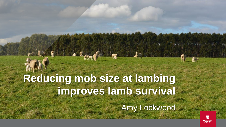# **Reducing mob size at lambing improves lamb survival**

FILLE MENGALO

Amy Lockwood

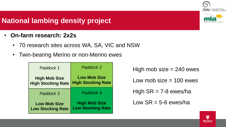### **National lambing density project**

- **On-farm research: 2x2s**
	- 70 research sites across WA, SA, VIC and NSW
	- Twin-bearing Merino or non-Merino ewes

| Paddock 1                 | Paddock 2                 |  |
|---------------------------|---------------------------|--|
| <b>High Mob Size</b>      | <b>Low Mob Size</b>       |  |
| <b>High Stocking Rate</b> | <b>High Stocking Rate</b> |  |
| Paddock 3                 | Paddock 4                 |  |
| <b>Low Mob Size</b>       | <b>High Mob Size</b>      |  |
| <b>Low Stocking Rate</b>  | <b>Low Stocking Rate</b>  |  |

High mob size  $= 240$  ewes

Low mob size  $= 100$  ewes

High  $SR = 7-8$  ewes/ha

Low  $SR = 5-6$  ewes/ha



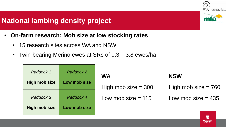#### **National lambing density project**

- **On-farm research: Mob size at low stocking rates**
	- 15 research sites across WA and NSW
	- Twin-bearing Merino ewes at SRs of 0.3 3.8 ewes/ha

| Paddock 1            | Paddock 2    |
|----------------------|--------------|
| <b>High mob size</b> | Low mob size |
| Paddock 3            | Paddock 4    |
| <b>High mob size</b> | Low mob size |

| <b>WA</b>             | <b>NSW</b>            |  |  |
|-----------------------|-----------------------|--|--|
| High mob size $=$ 300 | High mob size $= 760$ |  |  |
| Low mob size $= 115$  | Low mob size $= 435$  |  |  |





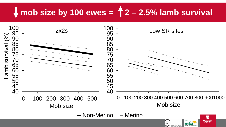# **mob size by 100 ewes = 2 – 2.5% lamb survival**

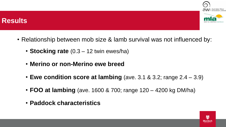

#### **Results**

- Relationship between mob size & lamb survival was not influenced by:
	- **Stocking rate** (0.3 12 twin ewes/ha)
	- **Merino or non-Merino ewe breed**
	- **Ewe condition score at lambing** (ave. 3.1 & 3.2; range 2.4 3.9)
	- **FOO at lambing** (ave. 1600 & 700; range 120 4200 kg DM/ha)
	- **Paddock characteristics**

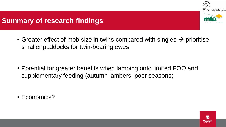

#### **Summary of research findings**

• Greater effect of mob size in twins compared with singles  $\rightarrow$  prioritise smaller paddocks for twin-bearing ewes

• Potential for greater benefits when lambing onto limited FOO and supplementary feeding (autumn lambers, poor seasons)

• Economics?

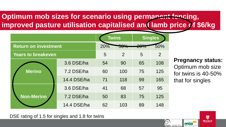# **Optimum mob sizes for scenario using permanent fencing, improved pasture utilisation capitalised and lamb price of \$6/kg**

|                             |             | <b>Twins</b> | <b>Singles</b>       |                  |                |
|-----------------------------|-------------|--------------|----------------------|------------------|----------------|
| <b>Return on investment</b> |             | 20%          | $E\Omega I$<br>JU 70 | $\Omega$<br>2070 | 50%            |
| <b>Years to breakeven</b>   |             | 5            | $\overline{2}$       | 5                | $\overline{2}$ |
|                             | 3.6 DSE/ha  | 54           | 90                   | 65               | 108            |
| <b>Merino</b>               | 7.2 DSE/ha  | 60           | 100                  | 75               | 125            |
|                             | 14.4 DSE/ha | 71           | 118                  | 99               | 165            |
|                             | 3.6 DSE/ha  | 41           | 68                   | 57               | 95             |
| <b>Non-Merino</b>           | 7.2 DSE/ha  | 50           | 83                   | 75               | 125            |
|                             | 14.4 DSE/ha | 62           | 103                  | 89               | 148            |

**Pregnancy status:**  Optimum mob size for twins is 40-50% that for singles

> $\blacksquare$ **Murdoch**

DSE rating of 1.5 for singles and 1.8 for twins

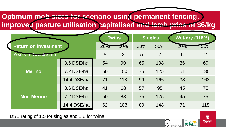**Optimum mob sizes for scenario using permanent fencing, improved pasture utilisation capitalised and lamb price of \$6/kg**

|  |                             |             | <b>Twins</b> |     | <b>Singles</b> |                | <b>Wet-dry (118%)</b> |     |
|--|-----------------------------|-------------|--------------|-----|----------------|----------------|-----------------------|-----|
|  | <b>Return on investment</b> |             | $20\%$       | 50% | 20%            | 50%            | 20%                   | 50% |
|  | <b>Years to breakeven</b>   |             | 5            | 2   | 5              | $\overline{2}$ | 5                     | 2   |
|  |                             | 3.6 DSE/ha  | 54           | 90  | 65             | 108            | 36                    | 60  |
|  | <b>Merino</b>               | 7.2 DSE/ha  | 60           | 100 | 75             | 125            | 51                    | 130 |
|  |                             | 14.4 DSE/ha | 71           | 118 | 99             | 165            | 98                    | 163 |
|  | <b>Non-Merino</b>           | 3.6 DSE/ha  | 41           | 68  | 57             | 95             | 45                    | 75  |
|  |                             | 7.2 DSE/ha  | 50           | 83  | 75             | 125            | 45                    | 75  |
|  |                             | 14.4 DSE/ha | 62           | 103 | 89             | 148            | 71                    | 118 |

DSE rating of 1.5 for singles and 1.8 for twins



 $\mathbf{D}$ **Murdoch**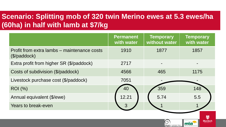# **Scenario: Splitting mob of 320 twin Merino ewes at 5.3 ewes/ha (60ha) in half with lamb at \$7/kg**

|                                                                      | <b>Permanent</b><br>with water | <b>Temporary</b><br>without water | <b>Temporary</b><br>with water |  |
|----------------------------------------------------------------------|--------------------------------|-----------------------------------|--------------------------------|--|
| Profit from extra lambs – maintenance costs<br>$(\sqrt[6]{ padlock)$ | 1910                           | 1877                              | 1857                           |  |
| Extra profit from higher SR (\$/paddock)                             | 2717                           |                                   |                                |  |
| Costs of subdivision (\$/paddock)                                    | 4566                           | 465                               | 1175                           |  |
| Livestock purchase cost (\$/paddock)                                 | 7051                           |                                   |                                |  |
| <b>ROI</b> (%)                                                       | 40                             | 359                               | 148                            |  |
| Annual equivalent (\$/ewe)                                           | 12.21                          | 5.74                              | 5.5                            |  |
| <b>Years to break-even</b>                                           | $\mathcal{R}$                  |                                   |                                |  |

 $\mathbf{Q}$ **Murdoch** 

mla

O

**aWI** Australian Wool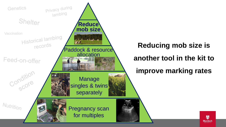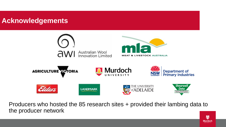#### **Acknowledgements**



Producers who hosted the 85 research sites + provided their lambing data to the producer network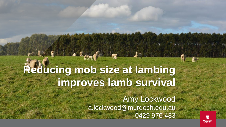# **Reducing mob size at lambing improves lamb survival**

FIRE MERCHELL

Amy Lockwood a.lockwood@murdoch.edu.au 0429 976 483